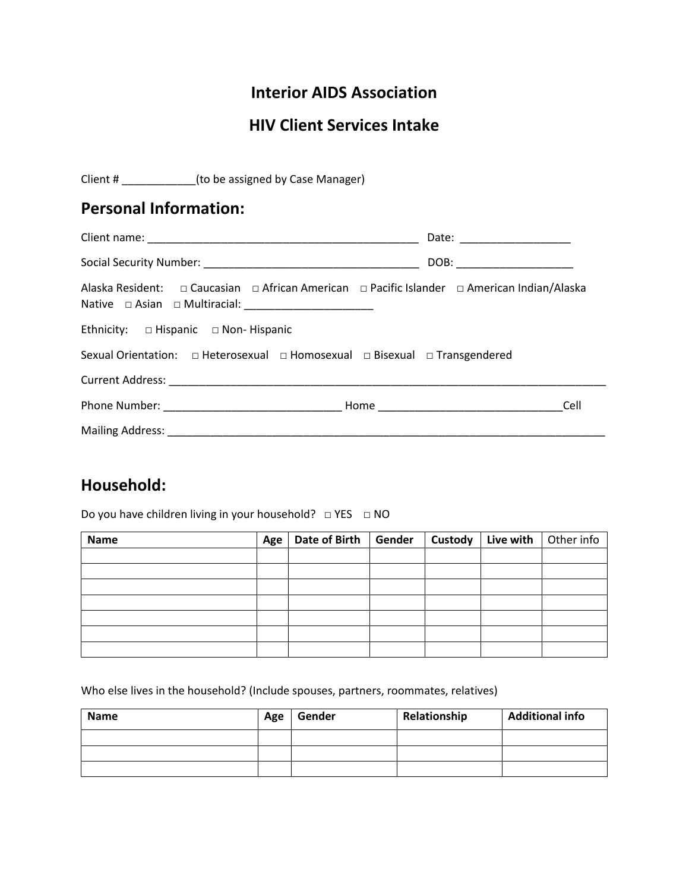### **Interior AIDS Association**

## **HIV Client Services Intake**

| Client # (to be assigned by Case Manager)                                                   |                              |
|---------------------------------------------------------------------------------------------|------------------------------|
| <b>Personal Information:</b>                                                                |                              |
|                                                                                             | Date: _____________________  |
|                                                                                             | DOB: _______________________ |
| Alaska Resident: □ Caucasian □ African American □ Pacific Islander □ American Indian/Alaska |                              |
| Ethnicity: $\square$ Hispanic $\square$ Non-Hispanic                                        |                              |
|                                                                                             |                              |
|                                                                                             |                              |
|                                                                                             | Cell                         |
|                                                                                             |                              |

### **Household:**

Do you have children living in your household? □ YES □ NO

| Name | Age | Date of Birth   Gender | Custody | Live with | Other info |
|------|-----|------------------------|---------|-----------|------------|
|      |     |                        |         |           |            |
|      |     |                        |         |           |            |
|      |     |                        |         |           |            |
|      |     |                        |         |           |            |
|      |     |                        |         |           |            |
|      |     |                        |         |           |            |
|      |     |                        |         |           |            |

Who else lives in the household? (Include spouses, partners, roommates, relatives)

| <b>Name</b> | Age | Gender | Relationship | <b>Additional info</b> |
|-------------|-----|--------|--------------|------------------------|
|             |     |        |              |                        |
|             |     |        |              |                        |
|             |     |        |              |                        |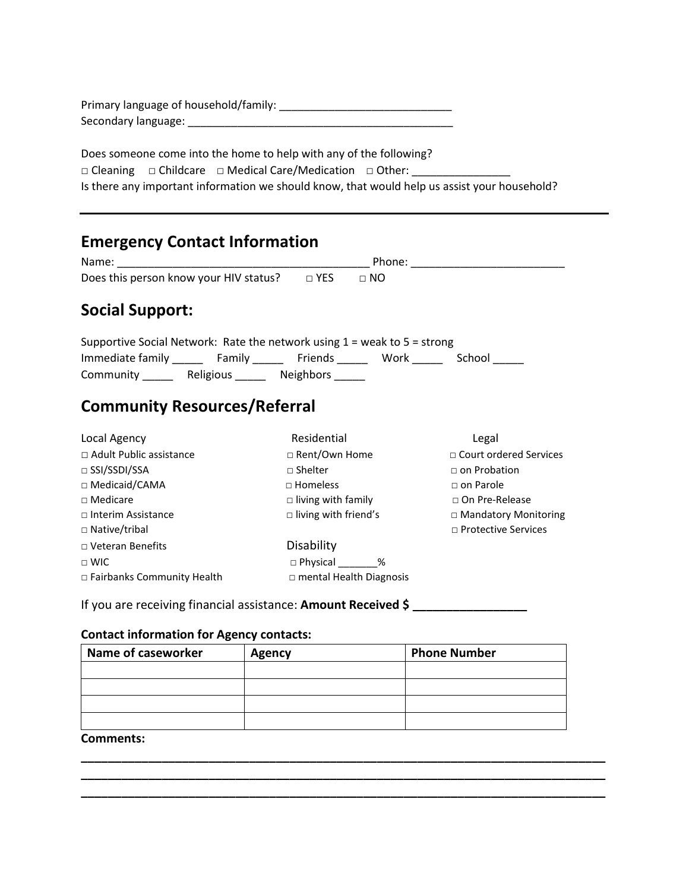| Primary language of household/family: |
|---------------------------------------|
| Secondary language:                   |

Does someone come into the home to help with any of the following? □ Cleaning □ Childcare □ Medical Care/Medication □ Other: \_\_\_\_\_\_\_\_\_\_\_\_\_\_\_\_\_\_\_\_\_ Is there any important information we should know, that would help us assist your household?

| <b>Emergency Contact Information</b>                                                                    |                                |                             |
|---------------------------------------------------------------------------------------------------------|--------------------------------|-----------------------------|
|                                                                                                         |                                |                             |
|                                                                                                         |                                |                             |
| <b>Social Support:</b>                                                                                  |                                |                             |
| Supportive Social Network: Rate the network using $1$ = weak to $5$ = strong                            |                                |                             |
| Immediate family __________ Family _____________ Friends ____________Work _____________ School ________ |                                |                             |
| Community ______ Religious _____ Neighbors _____                                                        |                                |                             |
| <b>Community Resources/Referral</b>                                                                     |                                |                             |
| Local Agency                                                                                            | Residential                    | Legal                       |
| $\Box$ Adult Public assistance                                                                          | □ Rent/Own Home                | □ Court ordered Services    |
| $\square$ SSI/SSDI/SSA                                                                                  | $\sqcap$ Shelter               | $\sqcap$ on Probation       |
| □ Medicaid/CAMA                                                                                         | $\Box$ Homeless                | $\Box$ on Parole            |
| $\Box$ Medicare                                                                                         | $\Box$ living with family      | $\Box$ On Pre-Release       |
| $\Box$ Interim Assistance                                                                               | $\Box$ living with friend's    | $\Box$ Mandatory Monitoring |
| $\Box$ Native/tribal                                                                                    |                                | $\Box$ Protective Services  |
| $\Box$ Veteran Benefits                                                                                 | <b>Disability</b>              |                             |
| $\sqcap$ WIC                                                                                            | □ Physical ________%           |                             |
| □ Fairbanks Community Health                                                                            | $\Box$ mental Health Diagnosis |                             |

If you are receiving financial assistance: **Amount Received \$ \_\_\_\_\_\_\_\_\_\_\_\_\_\_\_\_\_**

#### **Contact information for Agency contacts:**

| Name of caseworker | <b>Agency</b> | <b>Phone Number</b> |
|--------------------|---------------|---------------------|
|                    |               |                     |
|                    |               |                     |
|                    |               |                     |
|                    |               |                     |

**\_\_\_\_\_\_\_\_\_\_\_\_\_\_\_\_\_\_\_\_\_\_\_\_\_\_\_\_\_\_\_\_\_\_\_\_\_\_\_\_\_\_\_\_\_\_\_\_\_\_\_\_\_\_\_\_\_\_\_\_\_\_\_\_\_\_\_\_\_\_\_\_\_\_\_\_\_\_ \_\_\_\_\_\_\_\_\_\_\_\_\_\_\_\_\_\_\_\_\_\_\_\_\_\_\_\_\_\_\_\_\_\_\_\_\_\_\_\_\_\_\_\_\_\_\_\_\_\_\_\_\_\_\_\_\_\_\_\_\_\_\_\_\_\_\_\_\_\_\_\_\_\_\_\_\_\_ \_\_\_\_\_\_\_\_\_\_\_\_\_\_\_\_\_\_\_\_\_\_\_\_\_\_\_\_\_\_\_\_\_\_\_\_\_\_\_\_\_\_\_\_\_\_\_\_\_\_\_\_\_\_\_\_\_\_\_\_\_\_\_\_\_\_\_\_\_\_\_\_\_\_\_\_\_\_**

#### **Comments:**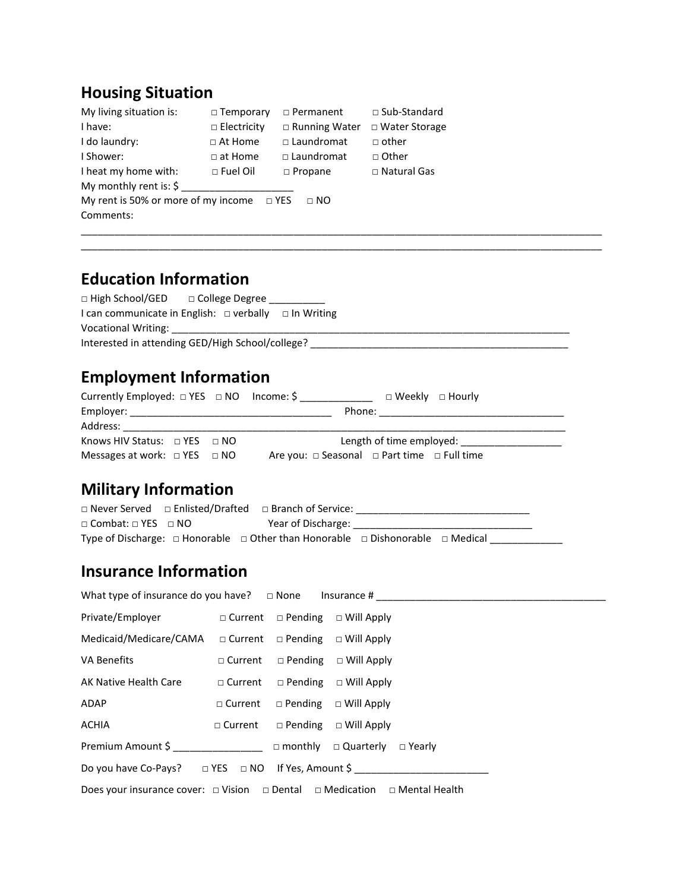# **Housing Situation**

| My living situation is:                        | $\Box$ Temporary   | $\Box$ Permanent     | $\Box$ Sub-Standard |
|------------------------------------------------|--------------------|----------------------|---------------------|
| I have:                                        | $\Box$ Electricity | $\Box$ Running Water | □ Water Storage     |
| I do laundry:                                  | $\Box$ At Home     | $\Box$ Laundromat    | $\Box$ other        |
| I Shower:                                      | $\Box$ at Home     | □ Laundromat         | □ Other             |
| I heat my home with:                           | $\Box$ Fuel Oil    | $\Box$ Propane       | □ Natural Gas       |
| My monthly rent is: $\zeta$                    |                    |                      |                     |
| My rent is 50% or more of my income $\Box$ YES |                    | $\sqcap$ NO          |                     |
| Comments:                                      |                    |                      |                     |
|                                                |                    |                      |                     |

# **Education Information**

| □ High School/GED □ College Degree _________                    |  |
|-----------------------------------------------------------------|--|
| I can communicate in English: $\Box$ verbally $\Box$ In Writing |  |
| Vocational Writing:                                             |  |
| Interested in attending GED/High School/college?                |  |

\_\_\_\_\_\_\_\_\_\_\_\_\_\_\_\_\_\_\_\_\_\_\_\_\_\_\_\_\_\_\_\_\_\_\_\_\_\_\_\_\_\_\_\_\_\_\_\_\_\_\_\_\_\_\_\_\_\_\_\_\_\_\_\_\_\_\_\_\_\_\_\_\_\_\_\_\_\_\_\_\_\_\_\_\_\_\_\_\_\_\_\_\_

# **Employment Information**

| Currently Employed: $\Box$ YES $\Box$ NO Income: \$                                                                                                                                                                            | □ Weekly □ Hourly                                          |
|--------------------------------------------------------------------------------------------------------------------------------------------------------------------------------------------------------------------------------|------------------------------------------------------------|
|                                                                                                                                                                                                                                | Phone: __________________________                          |
| Address: Andreas Address: Andreas Andreas Andreas Andreas Andreas Andreas Andreas Andreas Andreas Andreas Andreas Andreas Andreas Andreas Andreas Andreas Andreas Andreas Andreas Andreas Andreas Andreas Andreas Andreas Andr |                                                            |
| Knows HIV Status: $\Box$ YES $\Box$ NO                                                                                                                                                                                         | Length of time employed:                                   |
| Messages at work: $\Box$ YES $\Box$ NO                                                                                                                                                                                         | Are you: $\Box$ Seasonal $\Box$ Part time $\Box$ Full time |

# **Military Information**

|                                     | □ Never Served □ Enlisted/Drafted □ Branch of Service:                                             |  |  |
|-------------------------------------|----------------------------------------------------------------------------------------------------|--|--|
| $\Box$ Combat: $\Box$ YES $\Box$ NO | Year of Discharge:                                                                                 |  |  |
|                                     | Type of Discharge: $\Box$ Honorable $\Box$ Other than Honorable $\Box$ Dishonorable $\Box$ Medical |  |  |

## **Insurance Information**

|                                                                                               |  |  | What type of insurance do you have? $\square$ None Insurance # |  |
|-----------------------------------------------------------------------------------------------|--|--|----------------------------------------------------------------|--|
| Private/Employer □ Current □ Pending □ Will Apply                                             |  |  |                                                                |  |
| Medicaid/Medicare/CAMA                                                                        |  |  | $\Box$ Current $\Box$ Pending $\Box$ Will Apply                |  |
| VA Benefits                                                                                   |  |  | $\Box$ Current $\Box$ Pending $\Box$ Will Apply                |  |
| AK Native Health Care                                                                         |  |  | $\Box$ Current $\Box$ Pending $\Box$ Will Apply                |  |
| ADAP                                                                                          |  |  | $\Box$ Current $\Box$ Pending $\Box$ Will Apply                |  |
| <b>ACHIA</b>                                                                                  |  |  | $\Box$ Current $\Box$ Pending $\Box$ Will Apply                |  |
| Premium Amount \$ □ monthly □ Quarterly □ Yearly                                              |  |  |                                                                |  |
| Do you have Co-Pays? $\square$ YES $\square$ NO If Yes, Amount \$                             |  |  |                                                                |  |
| Does your insurance cover: $\Box$ Vision $\Box$ Dental $\Box$ Medication $\Box$ Mental Health |  |  |                                                                |  |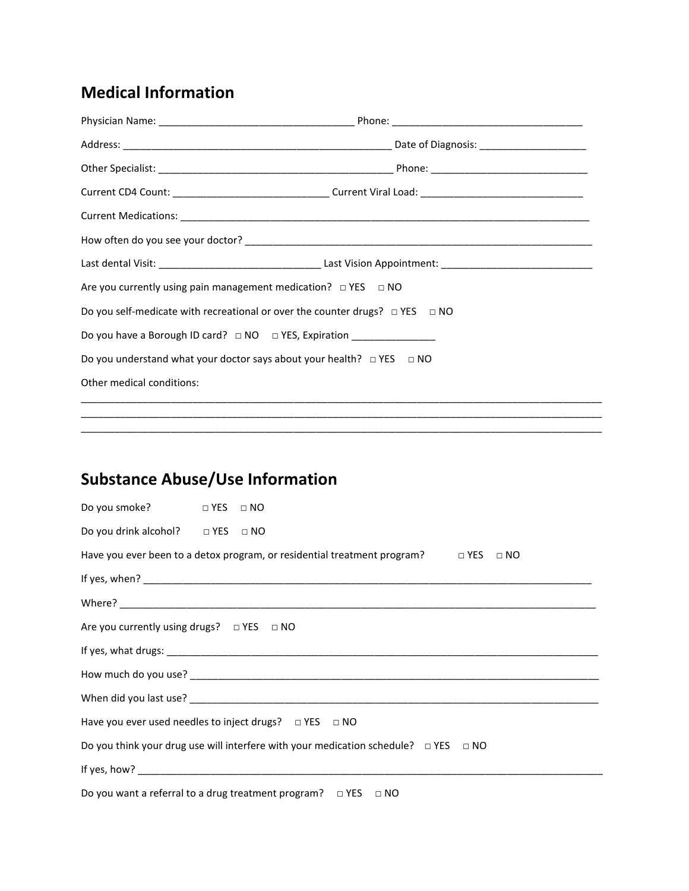# **Medical Information**

| Current CD4 Count: ___________________________________Current Viral Load: _______________________________ |  |  |  |
|-----------------------------------------------------------------------------------------------------------|--|--|--|
|                                                                                                           |  |  |  |
|                                                                                                           |  |  |  |
|                                                                                                           |  |  |  |
| Are you currently using pain management medication? $\Box$ YES $\Box$ NO                                  |  |  |  |
| Do you self-medicate with recreational or over the counter drugs? $\Box$ YES $\Box$ NO                    |  |  |  |
| Do you have a Borough ID card? □ NO □ YES, Expiration __________________________                          |  |  |  |
| Do you understand what your doctor says about your health? $\Box$ YES $\Box$ NO                           |  |  |  |
| Other medical conditions:                                                                                 |  |  |  |

\_\_\_\_\_\_\_\_\_\_\_\_\_\_\_\_\_\_\_\_\_\_\_\_\_\_\_\_\_\_\_\_\_\_\_\_\_\_\_\_\_\_\_\_\_\_\_\_\_\_\_\_\_\_\_\_\_\_\_\_\_\_\_\_\_\_\_\_\_\_\_\_\_\_\_\_\_\_\_\_\_\_\_\_\_\_\_\_\_\_\_\_\_ \_\_\_\_\_\_\_\_\_\_\_\_\_\_\_\_\_\_\_\_\_\_\_\_\_\_\_\_\_\_\_\_\_\_\_\_\_\_\_\_\_\_\_\_\_\_\_\_\_\_\_\_\_\_\_\_\_\_\_\_\_\_\_\_\_\_\_\_\_\_\_\_\_\_\_\_\_\_\_\_\_\_\_\_\_\_\_\_\_\_\_\_\_

# **Substance Abuse/Use Information**

| Do you smoke? □ YES □ NO                                                                            |  |  |  |  |  |  |
|-----------------------------------------------------------------------------------------------------|--|--|--|--|--|--|
| Do you drink alcohol? $\Box$ YES $\Box$ NO                                                          |  |  |  |  |  |  |
| Have you ever been to a detox program, or residential treatment program? $\square$ YES $\square$ NO |  |  |  |  |  |  |
|                                                                                                     |  |  |  |  |  |  |
|                                                                                                     |  |  |  |  |  |  |
| Are you currently using drugs? $\Box$ YES $\Box$ NO                                                 |  |  |  |  |  |  |
|                                                                                                     |  |  |  |  |  |  |
|                                                                                                     |  |  |  |  |  |  |
|                                                                                                     |  |  |  |  |  |  |
| Have you ever used needles to inject drugs? $\Box$ YES $\Box$ NO                                    |  |  |  |  |  |  |
| Do you think your drug use will interfere with your medication schedule? $\Box$ YES $\Box$ NO       |  |  |  |  |  |  |
|                                                                                                     |  |  |  |  |  |  |
| Do you want a referral to a drug treatment program? $\Box$ YES $\Box$ NO                            |  |  |  |  |  |  |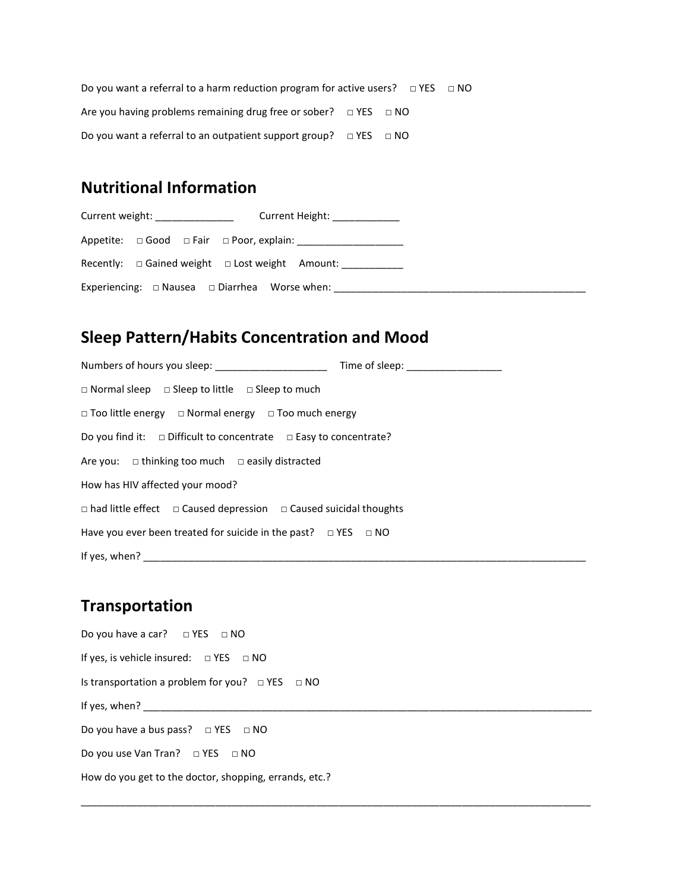Do you want a referral to a harm reduction program for active users?  $□$  YES  $□$  NO Are you having problems remaining drug free or sober?  $\Box$  YES  $\Box$  NO Do you want a referral to an outpatient support group?  $\Box$  YES  $\Box$  NO

### **Nutritional Information**

Current weight: <br>
Current Height: Appetite: □ Good □ Fair □ Poor, explain: \_\_\_\_\_\_\_\_\_\_\_\_\_\_\_\_\_\_\_ Recently: □ Gained weight □ Lost weight Amount: \_\_\_\_\_\_\_\_\_\_\_\_ Experiencing: □ Nausea □ Diarrhea Worse when: \_\_\_\_\_\_\_\_\_\_\_\_\_\_\_\_\_\_\_\_\_\_\_\_\_\_\_\_\_\_\_\_\_\_

### **Sleep Pattern/Habits Concentration and Mood**

| Numbers of hours you sleep: ____________________<br>Time of sleep: ____________________ |
|-----------------------------------------------------------------------------------------|
| $\Box$ Normal sleep $\Box$ Sleep to little $\Box$ Sleep to much                         |
| $\Box$ Too little energy $\Box$ Normal energy $\Box$ Too much energy                    |
| Do you find it: $\Box$ Difficult to concentrate $\Box$ Easy to concentrate?             |
| Are you: $\Box$ thinking too much $\Box$ easily distracted                              |
| How has HIV affected your mood?                                                         |
| $\Box$ had little effect $\Box$ Caused depression $\Box$ Caused suicidal thoughts       |
| Have you ever been treated for suicide in the past? $\Box$ YES $\Box$ NO                |
| If yes, when?                                                                           |

### **Transportation**

Do you have a car? □ YES □ NO If yes, is vehicle insured: □ YES □ NO Is transportation a problem for you?  $\Box$  YES  $\Box$  NO If yes, when?  $\frac{1}{2}$   $\frac{1}{2}$ Do you have a bus pass?  $□$  YES  $□$  NO Do you use Van Tran? □ YES □ NO How do you get to the doctor, shopping, errands, etc.?

\_\_\_\_\_\_\_\_\_\_\_\_\_\_\_\_\_\_\_\_\_\_\_\_\_\_\_\_\_\_\_\_\_\_\_\_\_\_\_\_\_\_\_\_\_\_\_\_\_\_\_\_\_\_\_\_\_\_\_\_\_\_\_\_\_\_\_\_\_\_\_\_\_\_\_\_\_\_\_\_\_\_\_\_\_\_\_\_\_\_\_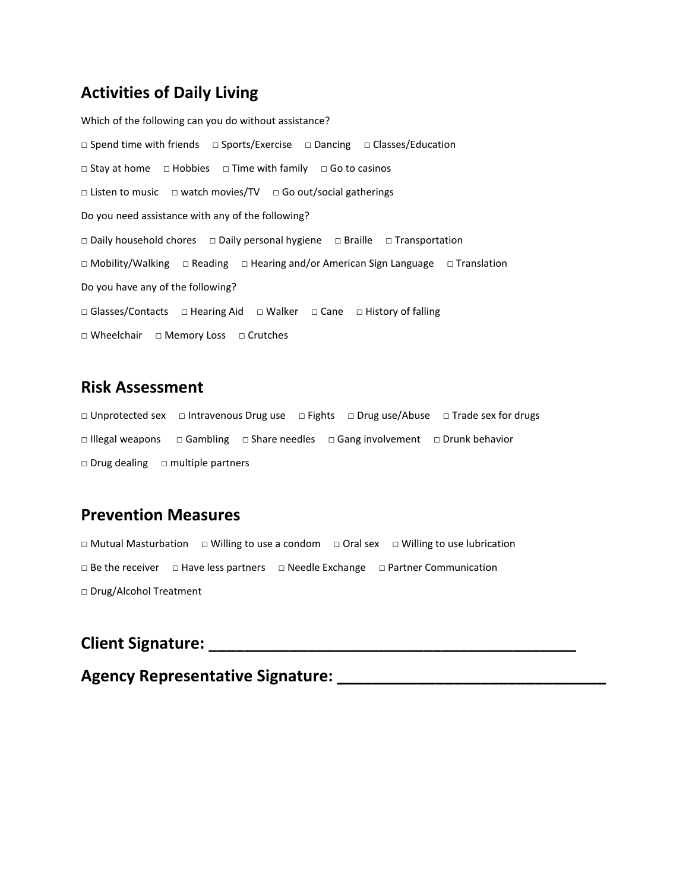### **Activities of Daily Living**

```
Which of the following can you do without assistance?
□ Spend time with friends □ Sports/Exercise □ Dancing □ Classes/Education
□ Stay at home □ Hobbies □ Time with family □ Go to casinos
□ Listen to music □ watch movies/TV □ Go out/social gatherings
Do you need assistance with any of the following?
□ Daily household chores □ Daily personal hygiene □ Braille □ Transportation
□ Mobility/Walking □ Reading □ Hearing and/or American Sign Language □ Translation
Do you have any of the following?
□ Glasses/Contacts □ Hearing Aid □ Walker □ Cane □ History of falling
□ Wheelchair □ Memory Loss □ Crutches
```
#### **Risk Assessment**

□ Unprotected sex □ Intravenous Drug use □ Fights □ Drug use/Abuse □ Trade sex for drugs □ Illegal weapons □ Gambling □ Share needles □ Gang involvement □ Drunk behavior □ Drug dealing □ multiple partners

#### **Prevention Measures**

□ Mutual Masturbation □ Willing to use a condom □ Oral sex □ Willing to use lubrication □ Be the receiver □ Have less partners □ Needle Exchange □ Partner Communication □ Drug/Alcohol Treatment

### **Client Signature:**  $\blacksquare$

#### **Agency Representative Signature: \_\_\_\_\_\_\_\_\_\_\_\_\_\_\_\_\_\_\_\_\_\_\_\_\_\_\_\_\_\_**